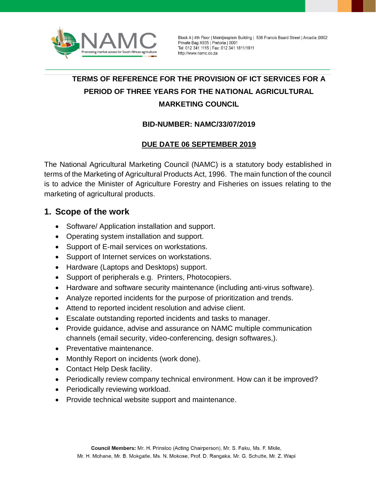

Block A | 4th Floor | Meintjiesplein Building | 536 Francis Baard Street | Arcadia | 0002 Private Bag X935 | Pretoria | 0001 Tel: 012 341 1115 | Fax: 012 341 1811/1911 http://www.namc.co.za

# **TERMS OF REFERENCE FOR THE PROVISION OF ICT SERVICES FOR A PERIOD OF THREE YEARS FOR THE NATIONAL AGRICULTURAL MARKETING COUNCIL**

#### **BID-NUMBER: NAMC/33/07/2019**

#### **DUE DATE 06 SEPTEMBER 2019**

The National Agricultural Marketing Council (NAMC) is a statutory body established in terms of the Marketing of Agricultural Products Act, 1996. The main function of the council is to advice the Minister of Agriculture Forestry and Fisheries on issues relating to the marketing of agricultural products.

### **1. Scope of the work**

- Software/ Application installation and support.
- Operating system installation and support.
- Support of E-mail services on workstations.
- Support of Internet services on workstations.
- Hardware (Laptops and Desktops) support.
- Support of peripherals e.g. Printers, Photocopiers.
- Hardware and software security maintenance (including anti-virus software).
- Analyze reported incidents for the purpose of prioritization and trends.
- Attend to reported incident resolution and advise client.
- Escalate outstanding reported incidents and tasks to manager.
- Provide guidance, advise and assurance on NAMC multiple communication channels (email security, video-conferencing, design softwares,).
- Preventative maintenance.
- Monthly Report on incidents (work done).
- Contact Help Desk facility.
- Periodically review company technical environment. How can it be improved?
- Periodically reviewing workload.
- Provide technical website support and maintenance.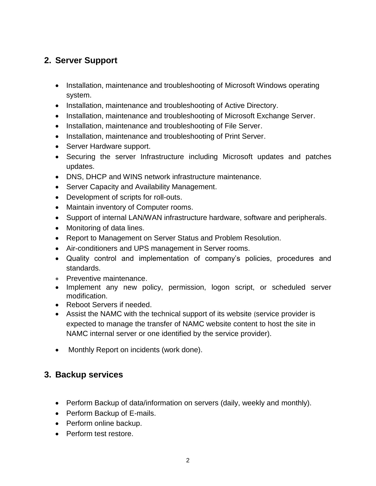# **2. Server Support**

- Installation, maintenance and troubleshooting of Microsoft Windows operating system.
- Installation, maintenance and troubleshooting of Active Directory.
- Installation, maintenance and troubleshooting of Microsoft Exchange Server.
- Installation, maintenance and troubleshooting of File Server.
- Installation, maintenance and troubleshooting of Print Server.
- Server Hardware support.
- Securing the server Infrastructure including Microsoft updates and patches updates.
- DNS, DHCP and WINS network infrastructure maintenance.
- Server Capacity and Availability Management.
- Development of scripts for roll-outs.
- Maintain inventory of Computer rooms.
- Support of internal LAN/WAN infrastructure hardware, software and peripherals.
- Monitoring of data lines.
- Report to Management on Server Status and Problem Resolution.
- Air-conditioners and UPS management in Server rooms.
- Quality control and implementation of company's policies, procedures and standards.
- Preventive maintenance.
- Implement any new policy, permission, logon script, or scheduled server modification.
- Reboot Servers if needed.
- Assist the NAMC with the technical support of its website (service provider is expected to manage the transfer of NAMC website content to host the site in NAMC internal server or one identified by the service provider).
- Monthly Report on incidents (work done).

### **3. Backup services**

- Perform Backup of data/information on servers (daily, weekly and monthly).
- Perform Backup of E-mails.
- Perform online backup.
- Perform test restore.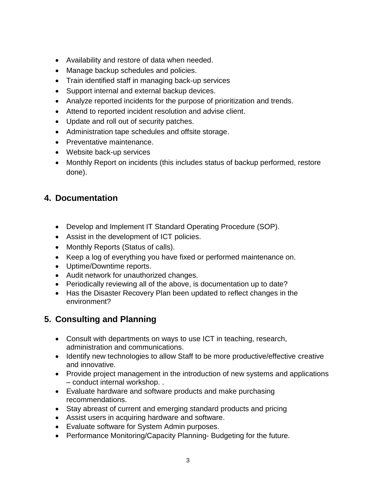- Availability and restore of data when needed.
- Manage backup schedules and policies.
- Train identified staff in managing back-up services
- Support internal and external backup devices.
- Analyze reported incidents for the purpose of prioritization and trends.
- Attend to reported incident resolution and advise client.
- Update and roll out of security patches.
- Administration tape schedules and offsite storage.
- Preventative maintenance.
- Website back-up services
- Monthly Report on incidents (this includes status of backup performed, restore done).

# **4. Documentation**

- Develop and Implement IT Standard Operating Procedure (SOP).
- Assist in the development of ICT policies.
- Monthly Reports (Status of calls).
- Keep a log of everything you have fixed or performed maintenance on.
- Uptime/Downtime reports.
- Audit network for unauthorized changes.
- Periodically reviewing all of the above, is documentation up to date?
- Has the Disaster Recovery Plan been updated to reflect changes in the environment?

# **5. Consulting and Planning**

- Consult with departments on ways to use ICT in teaching, research, administration and communications.
- Identify new technologies to allow Staff to be more productive/effective creative and innovative.
- Provide project management in the introduction of new systems and applications – conduct internal workshop. .
- Evaluate hardware and software products and make purchasing recommendations.
- Stay abreast of current and emerging standard products and pricing
- Assist users in acquiring hardware and software.
- Evaluate software for System Admin purposes.
- Performance Monitoring/Capacity Planning- Budgeting for the future.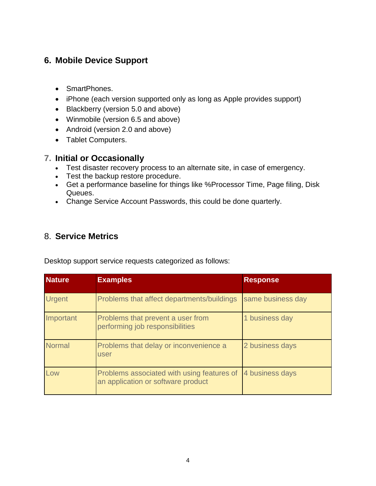# **6. Mobile Device Support**

- SmartPhones.
- iPhone (each version supported only as long as Apple provides support)
- Blackberry (version 5.0 and above)
- Winmobile (version 6.5 and above)
- Android (version 2.0 and above)
- Tablet Computers.

### **7. Initial or Occasionally**

- Test disaster recovery process to an alternate site, in case of emergency.
- Test the backup restore procedure.
- Get a performance baseline for things like %Processor Time, Page filing, Disk Queues.
- Change Service Account Passwords, this could be done quarterly.

### 8. **Service Metrics**

Desktop support service requests categorized as follows:

| <b>Nature</b> | <b>Examples</b>                                                                  | <b>Response</b>   |
|---------------|----------------------------------------------------------------------------------|-------------------|
| <b>Urgent</b> | Problems that affect departments/buildings                                       | same business day |
| Important     | Problems that prevent a user from<br>performing job responsibilities             | 1 business day    |
| <b>Normal</b> | Problems that delay or inconvenience a<br>user                                   | 2 business days   |
| Low           | Problems associated with using features of<br>an application or software product | 4 business days   |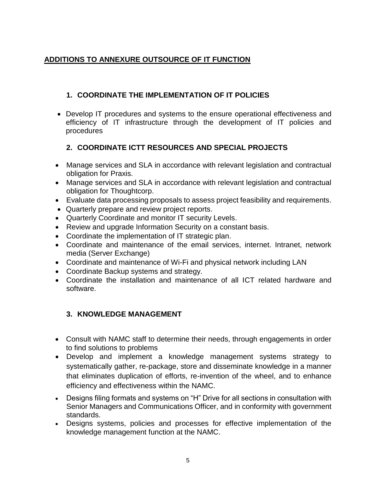### **ADDITIONS TO ANNEXURE OUTSOURCE OF IT FUNCTION**

### **1. COORDINATE THE IMPLEMENTATION OF IT POLICIES**

• Develop IT procedures and systems to the ensure operational effectiveness and efficiency of IT infrastructure through the development of IT policies and procedures

### **2. COORDINATE ICTT RESOURCES AND SPECIAL PROJECTS**

- Manage services and SLA in accordance with relevant legislation and contractual obligation for Praxis.
- Manage services and SLA in accordance with relevant legislation and contractual obligation for Thoughtcorp.
- Evaluate data processing proposals to assess project feasibility and requirements.
- Quarterly prepare and review project reports.
- Quarterly Coordinate and monitor IT security Levels.
- Review and upgrade Information Security on a constant basis.
- Coordinate the implementation of IT strategic plan.
- Coordinate and maintenance of the email services, internet. Intranet, network media (Server Exchange)
- Coordinate and maintenance of Wi-Fi and physical network including LAN
- Coordinate Backup systems and strategy.
- Coordinate the installation and maintenance of all ICT related hardware and software.

#### **3. KNOWLEDGE MANAGEMENT**

- Consult with NAMC staff to determine their needs, through engagements in order to find solutions to problems
- Develop and implement a knowledge management systems strategy to systematically gather, re-package, store and disseminate knowledge in a manner that eliminates duplication of efforts, re-invention of the wheel, and to enhance efficiency and effectiveness within the NAMC.
- Designs filing formats and systems on "H" Drive for all sections in consultation with Senior Managers and Communications Officer, and in conformity with government standards.
- Designs systems, policies and processes for effective implementation of the knowledge management function at the NAMC.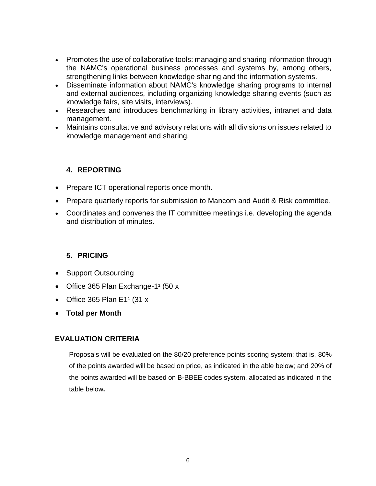- Promotes the use of collaborative tools: managing and sharing information through the NAMC's operational business processes and systems by, among others, strengthening links between knowledge sharing and the information systems.
- Disseminate information about NAMC's knowledge sharing programs to internal and external audiences, including organizing knowledge sharing events (such as knowledge fairs, site visits, interviews).
- Researches and introduces benchmarking in library activities, intranet and data management.
- Maintains consultative and advisory relations with all divisions on issues related to knowledge management and sharing.

#### **4. REPORTING**

- Prepare ICT operational reports once month.
- Prepare quarterly reports for submission to Mancom and Audit & Risk committee.
- Coordinates and convenes the IT committee meetings i.e. developing the agenda and distribution of minutes.

#### <span id="page-5-0"></span>**5. PRICING**

- Support Outsourcing
- Office 365 Plan Exchange-1<sup>1</sup> (50 x
- Office 365 Plan E[1](#page-5-0)**<sup>1</sup>** (31 x
- **Total per Month**

#### **EVALUATION CRITERIA**

Proposals will be evaluated on the 80/20 preference points scoring system: that is, 80% of the points awarded will be based on price, as indicated in the able below; and 20% of the points awarded will be based on B-BBEE codes system, allocated as indicated in the table below**.**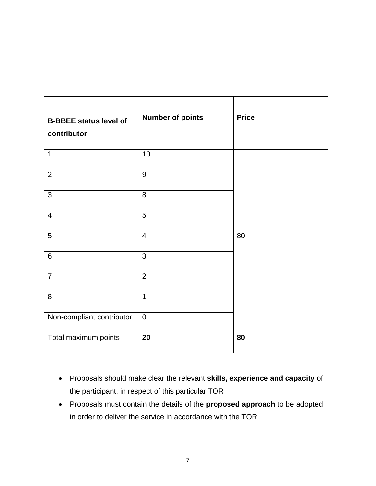| <b>B-BBEE status level of</b><br>contributor | <b>Number of points</b> | <b>Price</b> |
|----------------------------------------------|-------------------------|--------------|
| $\mathbf{1}$                                 | 10                      |              |
| $\overline{2}$                               | 9                       |              |
| $\mathbf{3}$                                 | 8                       |              |
| $\overline{4}$                               | 5                       |              |
| 5                                            | $\overline{4}$          | 80           |
| $6\phantom{1}$                               | 3                       |              |
| $\overline{7}$                               | $\overline{2}$          |              |
| 8                                            | $\mathbf{1}$            |              |
| Non-compliant contributor                    | $\mathbf 0$             |              |
| Total maximum points                         | 20                      | 80           |

- Proposals should make clear the relevant **skills, experience and capacity** of the participant, in respect of this particular TOR
- Proposals must contain the details of the **proposed approach** to be adopted in order to deliver the service in accordance with the TOR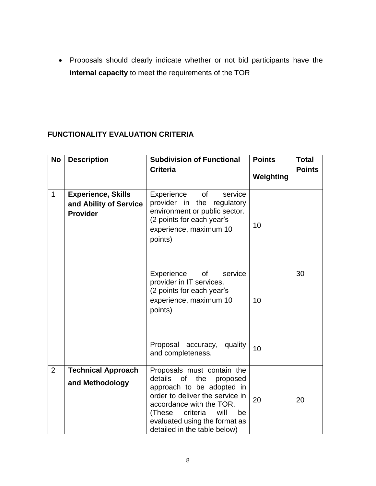• Proposals should clearly indicate whether or not bid participants have the **internal capacity** to meet the requirements of the TOR

### **FUNCTIONALITY EVALUATION CRITERIA**

| <b>No</b>      | <b>Description</b>                                                     | <b>Subdivision of Functional</b><br><b>Criteria</b>                                                                                                                                           | <b>Points</b> | <b>Total</b><br><b>Points</b> |
|----------------|------------------------------------------------------------------------|-----------------------------------------------------------------------------------------------------------------------------------------------------------------------------------------------|---------------|-------------------------------|
|                |                                                                        |                                                                                                                                                                                               | Weighting     |                               |
| $\mathbf{1}$   | <b>Experience, Skills</b><br>and Ability of Service<br><b>Provider</b> | Experience<br>of<br>service<br>provider in<br>the regulatory<br>environment or public sector.<br>(2 points for each year's<br>experience, maximum 10<br>points)                               | 10            |                               |
|                |                                                                        | Experience<br>service<br>of<br>provider in IT services.<br>(2 points for each year's<br>experience, maximum 10<br>points)                                                                     | 10            | 30                            |
|                |                                                                        | Proposal accuracy,<br>quality<br>and completeness.                                                                                                                                            | 10            |                               |
| $\overline{2}$ | <b>Technical Approach</b>                                              | Proposals must contain the<br>details<br>of<br>the<br>proposed                                                                                                                                |               |                               |
|                | and Methodology                                                        | approach to be adopted in<br>order to deliver the service in<br>accordance with the TOR.<br>criteria<br>(These<br>will<br>be<br>evaluated using the format as<br>detailed in the table below) | 20            | 20                            |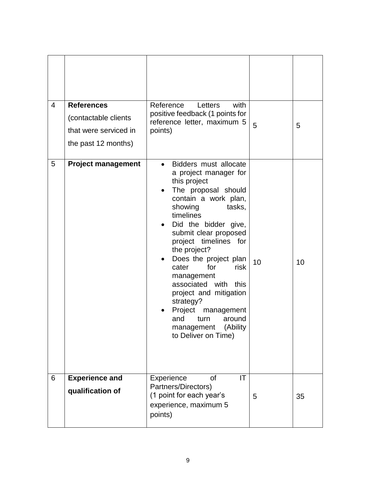| $\overline{4}$ | <b>References</b><br>(contactable clients<br>that were serviced in<br>the past 12 months) | Reference<br>with<br>Letters<br>positive feedback (1 points for<br>reference letter, maximum 5<br>points)                                                                                                                                                                                                                                                                                                                                                                                  | 5  | 5  |
|----------------|-------------------------------------------------------------------------------------------|--------------------------------------------------------------------------------------------------------------------------------------------------------------------------------------------------------------------------------------------------------------------------------------------------------------------------------------------------------------------------------------------------------------------------------------------------------------------------------------------|----|----|
| 5              | <b>Project management</b>                                                                 | Bidders must allocate<br>$\bullet$<br>a project manager for<br>this project<br>The proposal should<br>contain a work plan,<br>showing<br>tasks,<br>timelines<br>Did the bidder give,<br>submit clear proposed<br>project timelines for<br>the project?<br>Does the project plan<br>cater<br>for<br>risk<br>management<br>associated with<br>this<br>project and mitigation<br>strategy?<br>Project<br>management<br>and<br>turn<br>around<br>(Ability<br>management<br>to Deliver on Time) | 10 | 10 |
| 6              | <b>Experience and</b><br>qualification of                                                 | IT<br>Experience<br><b>of</b><br>Partners/Directors)<br>(1 point for each year's<br>experience, maximum 5<br>points)                                                                                                                                                                                                                                                                                                                                                                       | 5  | 35 |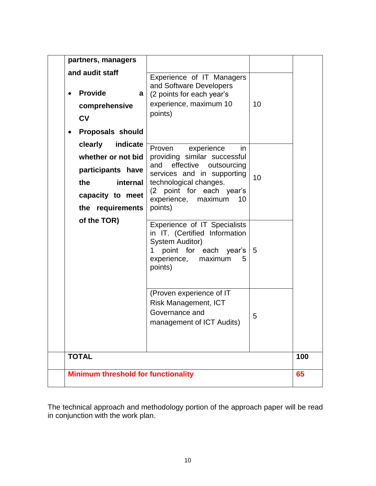| partners, managers                                                                                                               |                                                                                                                                                                                                                     |    |     |
|----------------------------------------------------------------------------------------------------------------------------------|---------------------------------------------------------------------------------------------------------------------------------------------------------------------------------------------------------------------|----|-----|
| and audit staff<br><b>Provide</b><br>a l<br>comprehensive<br><b>CV</b><br><b>Proposals should</b>                                | Experience of IT Managers<br>and Software Developers<br>(2 points for each year's<br>experience, maximum 10<br>points)                                                                                              | 10 |     |
| clearly<br>indicate<br>whether or not bid<br>participants have<br>the<br><b>internal</b><br>capacity to meet<br>the requirements | Proven<br>experience<br>in<br>providing similar successful<br>and effective outsourcing<br>services and in supporting<br>technological changes.<br>(2 point for each year's<br>experience, maximum<br>10<br>points) | 10 |     |
| of the TOR)                                                                                                                      | Experience of IT Specialists<br>in IT. (Certified Information<br><b>System Auditor)</b><br>point for each year's<br>1<br>experience, maximum<br>5<br>points)                                                        | -5 |     |
|                                                                                                                                  | (Proven experience of IT<br><b>Risk Management, ICT</b><br>Governance and<br>management of ICT Audits)                                                                                                              | 5  |     |
| <b>TOTAL</b>                                                                                                                     |                                                                                                                                                                                                                     |    | 100 |
| <b>Minimum threshold for functionality</b>                                                                                       |                                                                                                                                                                                                                     |    | 65  |
|                                                                                                                                  |                                                                                                                                                                                                                     |    |     |

The technical approach and methodology portion of the approach paper will be read in conjunction with the work plan.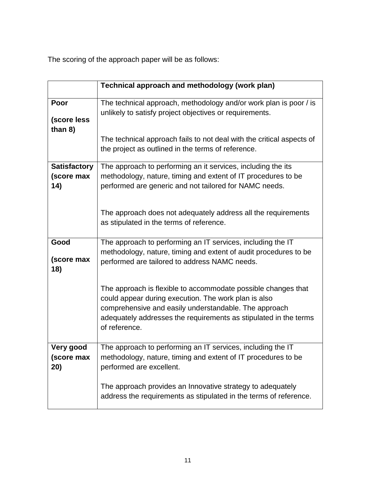The scoring of the approach paper will be as follows:

|                                          | Technical approach and methodology (work plan)                                                                                                                                                                                                                      |
|------------------------------------------|---------------------------------------------------------------------------------------------------------------------------------------------------------------------------------------------------------------------------------------------------------------------|
| Poor<br>(score less<br>than 8)           | The technical approach, methodology and/or work plan is poor / is<br>unlikely to satisfy project objectives or requirements.                                                                                                                                        |
|                                          | The technical approach fails to not deal with the critical aspects of<br>the project as outlined in the terms of reference.                                                                                                                                         |
| <b>Satisfactory</b><br>(score max<br>14) | The approach to performing an it services, including the its<br>methodology, nature, timing and extent of IT procedures to be<br>performed are generic and not tailored for NAMC needs.                                                                             |
|                                          | The approach does not adequately address all the requirements<br>as stipulated in the terms of reference.                                                                                                                                                           |
| Good<br>(score max<br>18)                | The approach to performing an IT services, including the IT<br>methodology, nature, timing and extent of audit procedures to be<br>performed are tailored to address NAMC needs.                                                                                    |
|                                          | The approach is flexible to accommodate possible changes that<br>could appear during execution. The work plan is also<br>comprehensive and easily understandable. The approach<br>adequately addresses the requirements as stipulated in the terms<br>of reference. |
| Very good<br>(score max<br>20)           | The approach to performing an IT services, including the IT<br>methodology, nature, timing and extent of IT procedures to be<br>performed are excellent.                                                                                                            |
|                                          | The approach provides an Innovative strategy to adequately<br>address the requirements as stipulated in the terms of reference.                                                                                                                                     |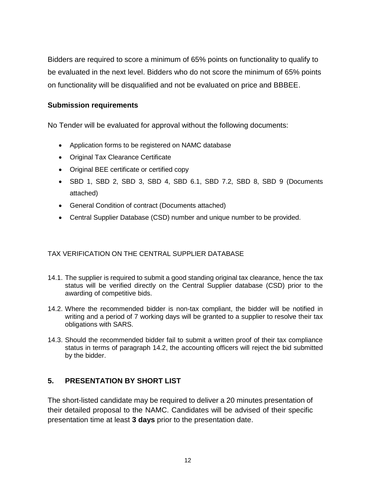Bidders are required to score a minimum of 65% points on functionality to qualify to be evaluated in the next level. Bidders who do not score the minimum of 65% points on functionality will be disqualified and not be evaluated on price and BBBEE.

#### **Submission requirements**

No Tender will be evaluated for approval without the following documents:

- Application forms to be registered on NAMC database
- Original Tax Clearance Certificate
- Original BEE certificate or certified copy
- SBD 1, SBD 2, SBD 3, SBD 4, SBD 6.1, SBD 7.2, SBD 8, SBD 9 (Documents attached)
- General Condition of contract (Documents attached)
- Central Supplier Database (CSD) number and unique number to be provided.

#### TAX VERIFICATION ON THE CENTRAL SUPPLIER DATABASE

- 14.1. The supplier is required to submit a good standing original tax clearance, hence the tax status will be verified directly on the Central Supplier database (CSD) prior to the awarding of competitive bids.
- 14.2. Where the recommended bidder is non-tax compliant, the bidder will be notified in writing and a period of 7 working days will be granted to a supplier to resolve their tax obligations with SARS.
- 14.3. Should the recommended bidder fail to submit a written proof of their tax compliance status in terms of paragraph 14.2, the accounting officers will reject the bid submitted by the bidder.

#### **5. PRESENTATION BY SHORT LIST**

The short-listed candidate may be required to deliver a 20 minutes presentation of their detailed proposal to the NAMC. Candidates will be advised of their specific presentation time at least **3 days** prior to the presentation date.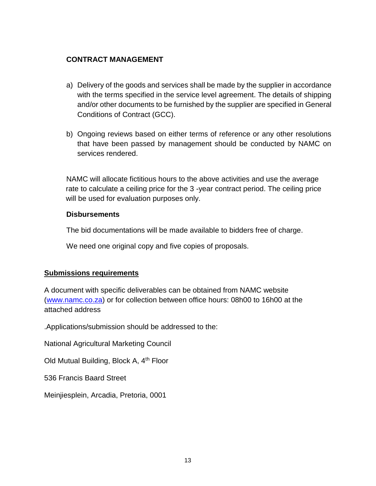#### **CONTRACT MANAGEMENT**

- a) Delivery of the goods and services shall be made by the supplier in accordance with the terms specified in the service level agreement. The details of shipping and/or other documents to be furnished by the supplier are specified in General Conditions of Contract (GCC).
- b) Ongoing reviews based on either terms of reference or any other resolutions that have been passed by management should be conducted by NAMC on services rendered.

NAMC will allocate fictitious hours to the above activities and use the average rate to calculate a ceiling price for the 3 -year contract period. The ceiling price will be used for evaluation purposes only.

#### **Disbursements**

The bid documentations will be made available to bidders free of charge.

We need one original copy and five copies of proposals.

#### **Submissions requirements**

A document with specific deliverables can be obtained from NAMC website [\(www.namc.co.za\)](http://www.namc.co.za/) or for collection between office hours: 08h00 to 16h00 at the attached address

.Applications/submission should be addressed to the:

National Agricultural Marketing Council

Old Mutual Building, Block A, 4<sup>th</sup> Floor

536 Francis Baard Street

Meinjiesplein, Arcadia, Pretoria, 0001